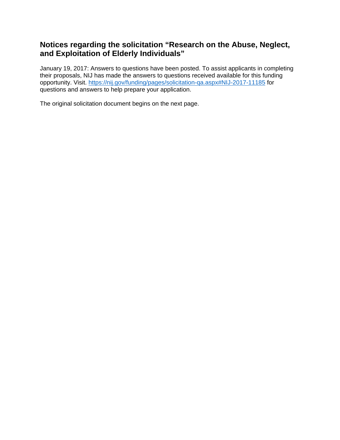# **Notices regarding the solicitation "Research on the Abuse, Neglect, and Exploitation of Elderly Individuals"**

January 19, 2017: Answers to questions have been posted. To assist applicants in completing their proposals, NIJ has made the answers to questions received available for this funding opportunity. Visit. <https://nij.gov/funding/pages/solicitation-qa.aspx#NIJ-2017-11185> for questions and answers to help prepare your application.

The original solicitation document begins on the next page.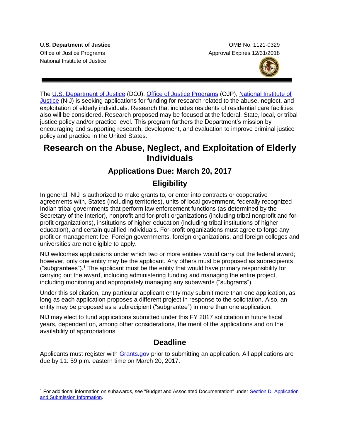National Institute of Justice

 $\overline{a}$ 

**U.S. Department of Justice**  OMB No. 1121-0329 Office of Justice Programs **Approval Expires 12/31/2018** 



The [U.S. Department of Justice](http://www.usdoj.gov/) (DOJ), [Office of Justice Programs](http://www.ojp.usdoj.gov/) (OJP), [National Institute of](http://nij.gov/Pages/welcome.aspx)  [Justice](http://nij.gov/Pages/welcome.aspx) (NIJ) is seeking applications for funding for research related to the abuse, neglect, and exploitation of elderly individuals. Research that includes residents of residential care facilities also will be considered. Research proposed may be focused at the federal, State, local, or tribal justice policy and/or practice level. This program furthers the Department's mission by encouraging and supporting research, development, and evaluation to improve criminal justice policy and practice in the United States.

# **Research on the Abuse, Neglect, and Exploitation of Elderly Individuals**

# **Applications Due: March 20, 2017**

# **Eligibility**

In general, NIJ is authorized to make grants to, or enter into contracts or cooperative agreements with, States (including territories), units of local government, federally recognized Indian tribal governments that perform law enforcement functions (as determined by the Secretary of the Interior), nonprofit and for-profit organizations (including tribal nonprofit and forprofit organizations), institutions of higher education (including tribal institutions of higher education), and certain qualified individuals. For-profit organizations must agree to forgo any profit or management fee. Foreign governments, foreign organizations, and foreign colleges and universities are not eligible to apply.

NIJ welcomes applications under which two or more entities would carry out the federal award; however, only one entity may be the applicant. Any others must be proposed as subrecipients ("subgrantees").<sup>1</sup> The applicant must be the entity that would have primary responsibility for carrying out the award, including administering funding and managing the entire project, including monitoring and appropriately managing any subawards ("subgrants").

Under this solicitation, any particular applicant entity may submit more than one application, as long as each application proposes a different project in response to the solicitation. Also, an entity may be proposed as a subrecipient ("subgrantee") in more than one application.

NIJ may elect to fund applications submitted under this FY 2017 solicitation in future fiscal years, dependent on, among other considerations, the merit of the applications and on the availability of appropriations.

# **Deadline**

Applicants must register with **Grants.gov** prior to submitting an application. All applications are due by 11: 59 p.m. eastern time on March 20, 2017.

<sup>&</sup>lt;sup>1</sup> For additional information on subawards, see "Budget and Associated Documentation" under Section D. Application [and Submission Information.](#page-11-0)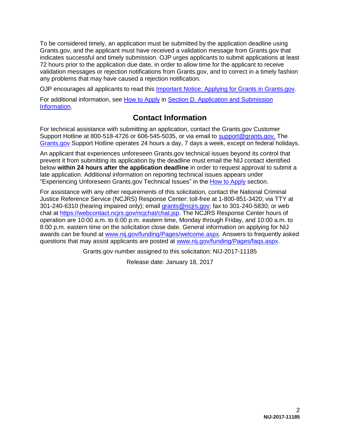To be considered timely, an application must be submitted by the application deadline using Grants.gov, and the applicant must have received a validation message from Grants.gov that indicates successful and timely submission. OJP urges applicants to submit applications at least 72 hours prior to the application due date, in order to allow time for the applicant to receive validation messages or rejection notifications from Grants.gov, and to correct in a timely fashion any problems that may have caused a rejection notification.

OJP encourages all applicants to read this [Important Notice: Applying for Grants in Grants.gov.](http://ojp.gov/funding/Apply/Grants-govInfo.htm)

For additional information, see [How to Apply](#page-24-0) in Section D. Application and Submission [Information.](#page-11-0)

# **Contact Information**

For technical assistance with submitting an application, contact the Grants.gov Customer Support Hotline at 800-518-4726 or 606-545-5035, or via email to [support@grants.gov.](mailto:support@grants.gov) The [Grants.gov](http://www.grants.gov/web/grants/support.html) Support Hotline operates 24 hours a day, 7 days a week, except on federal holidays.

An applicant that experiences unforeseen Grants.gov technical issues beyond its control that prevent it from submitting its application by the deadline must email the NIJ contact identified below **within 24 hours after the application deadline** in order to request approval to submit a late application. Additional information on reporting technical issues appears under "Experiencing Unforeseen Grants.gov Technical Issues" in the [How to Apply](#page-24-0) section.

For assistance with any other requirements of this solicitation, contact the National Criminal Justice Reference Service (NCJRS) Response Center: toll-free at 1-800-851-3420; via TTY at 301-240-6310 (hearing impaired only); email [grants@ncjrs.gov;](mailto:responsecenter@ncjrs.gov) fax to 301-240-5830; or web chat at [https://webcontact.ncjrs.gov/ncjchat/chat.jsp.](https://webcontact.ncjrs.gov/ncjchat/chat.jsp) The NCJRS Response Center hours of operation are 10:00 a.m. to 6:00 p.m. eastern time, Monday through Friday, and 10:00 a.m. to 8:00 p.m. eastern time on the solicitation close date. General information on applying for NIJ awards can be found at [www.nij.gov/funding/Pages/welcome.aspx.](http://www.nij.gov/funding/Pages/welcome.aspx) Answers to frequently asked questions that may assist applicants are posted at [www.nij.gov/funding/Pages/faqs.aspx.](http://www.nij.gov/funding/Pages/faqs.aspx)

Grants.gov number assigned to this solicitation: NIJ-2017-11185

Release date: January 18, 2017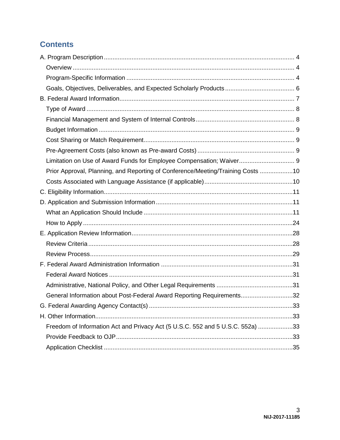# **Contents**

| Limitation on Use of Award Funds for Employee Compensation; Waiver 9            |  |
|---------------------------------------------------------------------------------|--|
| Prior Approval, Planning, and Reporting of Conference/Meeting/Training Costs 10 |  |
|                                                                                 |  |
|                                                                                 |  |
|                                                                                 |  |
|                                                                                 |  |
|                                                                                 |  |
|                                                                                 |  |
|                                                                                 |  |
|                                                                                 |  |
|                                                                                 |  |
|                                                                                 |  |
|                                                                                 |  |
| General Information about Post-Federal Award Reporting Requirements32           |  |
|                                                                                 |  |
|                                                                                 |  |
| Freedom of Information Act and Privacy Act (5 U.S.C. 552 and 5 U.S.C. 552a) 33  |  |
|                                                                                 |  |
|                                                                                 |  |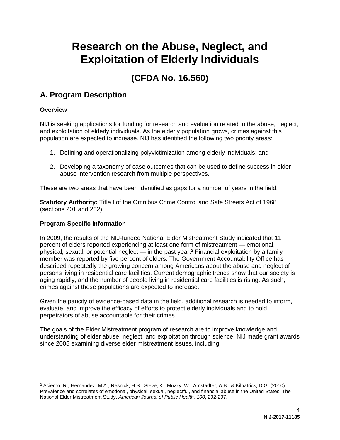# **Research on the Abuse, Neglect, and Exploitation of Elderly Individuals**

# **(CFDA No. 16.560)**

# <span id="page-4-0"></span>**A. Program Description**

## <span id="page-4-1"></span>**Overview**

NIJ is seeking applications for funding for research and evaluation related to the abuse, neglect, and exploitation of elderly individuals. As the elderly population grows, crimes against this population are expected to increase. NIJ has identified the following two priority areas:

- 1. Defining and operationalizing polyvictimization among elderly individuals; and
- 2. Developing a taxonomy of case outcomes that can be used to define success in elder abuse intervention research from multiple perspectives.

These are two areas that have been identified as gaps for a number of years in the field.

**Statutory Authority:** Title I of the Omnibus Crime Control and Safe Streets Act of 1968 (sections 201 and 202).

## <span id="page-4-2"></span>**Program-Specific Information**

In 2009, the results of the NIJ-funded National Elder Mistreatment Study indicated that 11 percent of elders reported experiencing at least one form of mistreatment — emotional, physical, sexual, or potential neglect — in the past year.<sup>2</sup> Financial exploitation by a family member was reported by five percent of elders. The Government Accountability Office has described repeatedly the growing concern among Americans about the abuse and neglect of persons living in residential care facilities. Current demographic trends show that our society is aging rapidly, and the number of people living in residential care facilities is rising. As such, crimes against these populations are expected to increase.

Given the paucity of evidence-based data in the field, additional research is needed to inform, evaluate, and improve the efficacy of efforts to protect elderly individuals and to hold perpetrators of abuse accountable for their crimes.

The goals of the Elder Mistreatment program of research are to improve knowledge and understanding of elder abuse, neglect, and exploitation through science. NIJ made grant awards since 2005 examining diverse elder mistreatment issues, including:

<sup>&</sup>lt;sup>2</sup> Acierno, R., Hernandez, M.A., Resnick, H.S., Steve, K., Muzzy, W., Amstadter, A.B., & Kilpatrick, D.G. (2010). Prevalence and correlates of emotional, physical, sexual, neglectful, and financial abuse in the United States: The National Elder Mistreatment Study. *American Journal of Public Health, 100*, 292-297.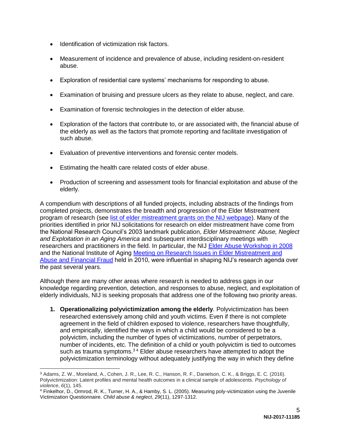- Identification of victimization risk factors.
- Measurement of incidence and prevalence of abuse, including resident-on-resident abuse.
- Exploration of residential care systems' mechanisms for responding to abuse.
- Examination of bruising and pressure ulcers as they relate to abuse, neglect, and care.
- Examination of forensic technologies in the detection of elder abuse.
- Exploration of the factors that contribute to, or are associated with, the financial abuse of the elderly as well as the factors that promote reporting and facilitate investigation of such abuse.
- Evaluation of preventive interventions and forensic center models.
- Estimating the health care related costs of elder abuse.
- Production of screening and assessment tools for financial exploitation and abuse of the elderly.

A compendium with descriptions of all funded projects, including abstracts of the findings from completed projects, demonstrates the breadth and progression of the Elder Mistreatment program of research (see [list of elder mistreatment grants on the NIJ webpage\)](http://nij.gov/topics/crime/elder-abuse/pages/projects.aspx?tags=Elder%20Abuse). Many of the priorities identified in prior NIJ solicitations for research on elder mistreatment have come from the National Research Council's 2003 landmark publication, *Elder Mistreatment: Abuse, Neglect and Exploitation in an Aging America* and subsequent interdisciplinary meetings with researchers and practitioners in the field. In particular, the NIJ [Elder Abuse Workshop in 2008](http://www.nij.gov/topics/crime/elder-abuse/workshop-2008/pages/welcome.aspx) and the National Institute of Aging [Meeting on Research Issues in Elder Mistreatment and](https://www.nia.nih.gov/about/events/2011/meeting-research-issues-elder-mistreatment-and-abuse-and-financial-fraud)  [Abuse and Financial Fraud](https://www.nia.nih.gov/about/events/2011/meeting-research-issues-elder-mistreatment-and-abuse-and-financial-fraud) held in 2010, were influential in shaping NIJ's research agenda over the past several years.

Although there are many other areas where research is needed to address gaps in our knowledge regarding prevention, detection, and responses to abuse, neglect, and exploitation of elderly individuals, NIJ is seeking proposals that address one of the following two priority areas.

**1. Operationalizing polyvictimization among the elderly**. Polyvictimization has been researched extensively among child and youth victims. Even if there is not complete agreement in the field of children exposed to violence, researchers have thoughtfully, and empirically, identified the ways in which a child would be considered to be a polyvictim, including the number of types of victimizations, number of perpetrators, number of incidents, etc. The definition of a child or youth polyvictim is tied to outcomes such as trauma symptoms. $34$  Elder abuse researchers have attempted to adopt the polyvictimization terminology without adequately justifying the way in which they define

 $\overline{a}$ 

<sup>3</sup> Adams, Z. W., Moreland, A., Cohen, J. R., Lee, R. C., Hanson, R. F., Danielson, C. K., & Briggs, E. C. (2016). Polyvictimization: Latent profiles and mental health outcomes in a clinical sample of adolescents. *Psychology of violence*, *6*(1), 145.

<sup>4</sup> Finkelhor, D., Ormrod, R. K., Turner, H. A., & Hamby, S. L. (2005). Measuring poly-victimization using the Juvenile Victimization Questionnaire. *Child abuse & neglect*, *29*(11), 1297-1312.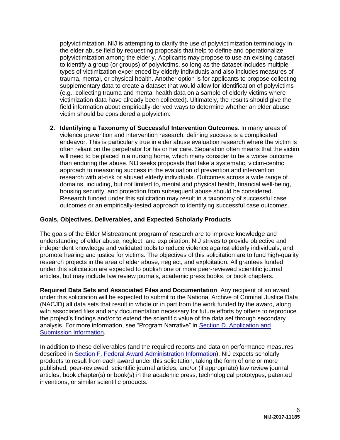polyvictimization. NIJ is attempting to clarify the use of polyvictimization terminology in the elder abuse field by requesting proposals that help to define and operationalize polyvictimization among the elderly. Applicants may propose to use an existing dataset to identify a group (or groups) of polyvictims, so long as the dataset includes multiple types of victimization experienced by elderly individuals and also includes measures of trauma, mental, or physical health. Another option is for applicants to propose collecting supplementary data to create a dataset that would allow for identification of polyvictims (e.g., collecting trauma and mental health data on a sample of elderly victims where victimization data have already been collected). Ultimately, the results should give the field information about empirically-derived ways to determine whether an elder abuse victim should be considered a polyvictim.

**2. Identifying a Taxonomy of Successful Intervention Outcomes**. In many areas of violence prevention and intervention research, defining success is a complicated endeavor. This is particularly true in elder abuse evaluation research where the victim is often reliant on the perpetrator for his or her care. Separation often means that the victim will need to be placed in a nursing home, which many consider to be a worse outcome than enduring the abuse. NIJ seeks proposals that take a systematic, victim-centric approach to measuring success in the evaluation of prevention and intervention research with at-risk or abused elderly individuals. Outcomes across a wide range of domains, including, but not limited to, mental and physical health, financial well-being, housing security, and protection from subsequent abuse should be considered. Research funded under this solicitation may result in a taxonomy of successful case outcomes or an empirically-tested approach to identifying successful case outcomes.

#### <span id="page-6-0"></span>**Goals, Objectives, Deliverables, and Expected Scholarly Products**

The goals of the Elder Mistreatment program of research are to improve knowledge and understanding of elder abuse, neglect, and exploitation. NIJ strives to provide objective and independent knowledge and validated tools to reduce violence against elderly individuals, and promote healing and justice for victims. The objectives of this solicitation are to fund high-quality research projects in the area of elder abuse, neglect, and exploitation. All grantees funded under this solicitation are expected to publish one or more peer-reviewed scientific journal articles, but may include law review journals, academic press books, or book chapters.

**Required Data Sets and Associated Files and Documentation**. Any recipient of an award under this solicitation will be expected to submit to the National Archive of Criminal Justice Data (NACJD) all data sets that result in whole or in part from the work funded by the award, along with associated files and any documentation necessary for future efforts by others to reproduce the project's findings and/or to extend the scientific value of the data set through secondary analysis. For more information, see "Program Narrative" in [Section D. Application and](#page-11-0)  [Submission Information.](#page-11-0)

In addition to these deliverables (and the required reports and data on performance measures described in [Section F. Federal Award Administration](#page-31-0) Information), NIJ expects scholarly products to result from each award under this solicitation, taking the form of one or more published, peer-reviewed, scientific journal articles, and/or (if appropriate) law review journal articles, book chapter(s) or book(s) in the academic press, technological prototypes, patented inventions, or similar scientific products.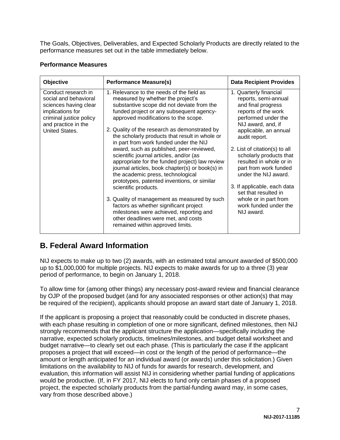The Goals, Objectives, Deliverables, and Expected Scholarly Products are directly related to the performance measures set out in the table immediately below.

#### **Performance Measures**

| Objective                                                                                                                                                     | <b>Performance Measure(s)</b>                                                                                                                                                                                                                                                                                                                                                                                                                                                                                                                                                                                                                                                                                                                                                                                                                                                         | <b>Data Recipient Provides</b>                                                                                                                                                                                                                                                                                                                                                                                                                    |
|---------------------------------------------------------------------------------------------------------------------------------------------------------------|---------------------------------------------------------------------------------------------------------------------------------------------------------------------------------------------------------------------------------------------------------------------------------------------------------------------------------------------------------------------------------------------------------------------------------------------------------------------------------------------------------------------------------------------------------------------------------------------------------------------------------------------------------------------------------------------------------------------------------------------------------------------------------------------------------------------------------------------------------------------------------------|---------------------------------------------------------------------------------------------------------------------------------------------------------------------------------------------------------------------------------------------------------------------------------------------------------------------------------------------------------------------------------------------------------------------------------------------------|
| Conduct research in<br>social and behavioral<br>sciences having clear<br>implications for<br>criminal justice policy<br>and practice in the<br>United States. | 1. Relevance to the needs of the field as<br>measured by whether the project's<br>substantive scope did not deviate from the<br>funded project or any subsequent agency-<br>approved modifications to the scope.<br>2. Quality of the research as demonstrated by<br>the scholarly products that result in whole or<br>in part from work funded under the NIJ<br>award, such as published, peer-reviewed,<br>scientific journal articles, and/or (as<br>appropriate for the funded project) law review<br>journal articles, book chapter(s) or book(s) in<br>the academic press, technological<br>prototypes, patented inventions, or similar<br>scientific products.<br>3. Quality of management as measured by such<br>factors as whether significant project<br>milestones were achieved, reporting and<br>other deadlines were met, and costs<br>remained within approved limits. | 1. Quarterly financial<br>reports, semi-annual<br>and final progress<br>reports of the work<br>performed under the<br>NIJ award, and, if<br>applicable, an annual<br>audit report.<br>2. List of citation(s) to all<br>scholarly products that<br>resulted in whole or in<br>part from work funded<br>under the NIJ award.<br>3. If applicable, each data<br>set that resulted in<br>whole or in part from<br>work funded under the<br>NIJ award. |

# <span id="page-7-0"></span>**B. Federal Award Information**

NIJ expects to make up to two (2) awards, with an estimated total amount awarded of \$500,000 up to \$1,000,000 for multiple projects. NIJ expects to make awards for up to a three (3) year period of performance, to begin on January 1, 2018.

To allow time for (among other things) any necessary post-award review and financial clearance by OJP of the proposed budget (and for any associated responses or other action(s) that may be required of the recipient), applicants should propose an award start date of January 1, 2018.

If the applicant is proposing a project that reasonably could be conducted in discrete phases, with each phase resulting in completion of one or more significant, defined milestones, then NIJ strongly recommends that the applicant structure the application—specifically including the narrative, expected scholarly products, timelines/milestones, and budget detail worksheet and budget narrative—to clearly set out each phase. (This is particularly the case if the applicant proposes a project that will exceed—in cost or the length of the period of performance—the amount or length anticipated for an individual award (or awards) under this solicitation.) Given limitations on the availability to NIJ of funds for awards for research, development, and evaluation, this information will assist NIJ in considering whether partial funding of applications would be productive. (If, in FY 2017, NIJ elects to fund only certain phases of a proposed project, the expected scholarly products from the partial-funding award may, in some cases, vary from those described above.)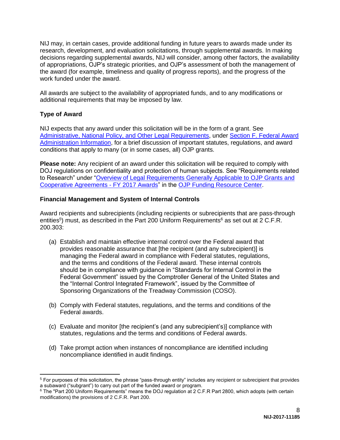NIJ may, in certain cases, provide additional funding in future years to awards made under its research, development, and evaluation solicitations, through supplemental awards. In making decisions regarding supplemental awards, NIJ will consider, among other factors, the availability of appropriations, OJP's strategic priorities, and OJP's assessment of both the management of the award (for example, timeliness and quality of progress reports), and the progress of the work funded under the award.

All awards are subject to the availability of appropriated funds, and to any modifications or additional requirements that may be imposed by law.

# <span id="page-8-0"></span>**Type of Award**

 $\overline{a}$ 

NIJ expects that any award under this solicitation will be in the form of a grant. See [Administrative, National Policy, and Other Legal Requirements,](#page-31-2) under [Section F. Federal Award](#page-31-0)  [Administration Information,](#page-31-0) for a brief discussion of important statutes, regulations, and award conditions that apply to many (or in some cases, all) OJP grants.

**Please note:** Any recipient of an award under this solicitation will be required to comply with DOJ regulations on confidentiality and protection of human subjects. See "Requirements related to Research" under ["Overview of Legal Requirements Generally Applicable to OJP Grants and](http://ojp.gov/funding/Explore/SolicitationRequirements/index.htm)  [Cooperative Agreements -](http://ojp.gov/funding/Explore/SolicitationRequirements/index.htm) FY 2017 Awards" in the [OJP Funding Resource Center.](http://ojp.gov/funding/index.htm)

## <span id="page-8-1"></span>**Financial Management and System of Internal Controls**

Award recipients and subrecipients (including recipients or subrecipients that are pass-through entities<sup>5</sup>) must, as described in the Part 200 Uniform Requirements<sup>6</sup> as set out at 2 C.F.R. 200.303:

- (a) Establish and maintain effective internal control over the Federal award that provides reasonable assurance that [the recipient (and any subrecipient)] is managing the Federal award in compliance with Federal statutes, regulations, and the terms and conditions of the Federal award. These internal controls should be in compliance with guidance in "Standards for Internal Control in the Federal Government" issued by the Comptroller General of the United States and the "Internal Control Integrated Framework", issued by the Committee of Sponsoring Organizations of the Treadway Commission (COSO).
- (b) Comply with Federal statutes, regulations, and the terms and conditions of the Federal awards.
- (c) Evaluate and monitor [the recipient's (and any subrecipient's)] compliance with statutes, regulations and the terms and conditions of Federal awards.
- (d) Take prompt action when instances of noncompliance are identified including noncompliance identified in audit findings.

<sup>&</sup>lt;sup>5</sup> For purposes of this solicitation, the phrase "pass-through entity" includes any recipient or subrecipient that provides a subaward ("subgrant") to carry out part of the funded award or program.

<sup>6</sup> The "Part 200 Uniform Requirements" means the DOJ regulation at 2 C.F.R Part 2800, which adopts (with certain modifications) the provisions of 2 C.F.R. Part 200.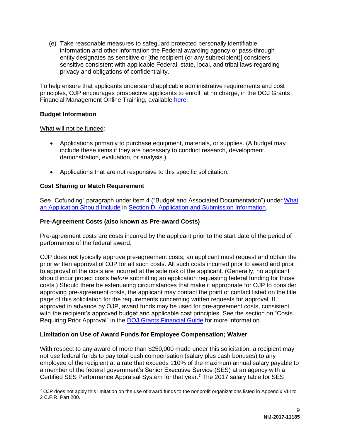(e) Take reasonable measures to safeguard protected personally identifiable information and other information the Federal awarding agency or pass-through entity designates as sensitive or [the recipient (or any subrecipient)] considers sensitive consistent with applicable Federal, state, local, and tribal laws regarding privacy and obligations of confidentiality.

To help ensure that applicants understand applicable administrative requirements and cost principles, OJP encourages prospective applicants to enroll, at no charge, in the DOJ Grants Financial Management Online Training, available [here.](http://ojpfgm.webfirst.com/)

#### <span id="page-9-0"></span>**Budget Information**

## What will not be funded:

- Applications primarily to purchase equipment, materials, or supplies. (A budget may include these items if they are necessary to conduct research, development, demonstration, evaluation, or analysis.)
- Applications that are not responsive to this specific solicitation.

# <span id="page-9-1"></span>**Cost Sharing or Match Requirement**

See "Cofunding" paragraph under item 4 ("Budget and Associated Documentation") under [What](#page-11-2)  [an Application Should Include](#page-11-2) in [Section D. Application and Submission Information.](#page-11-0)

## <span id="page-9-2"></span>**Pre-Agreement Costs (also known as Pre-award Costs)**

Pre-agreement costs are costs incurred by the applicant prior to the start date of the period of performance of the federal award.

OJP does **not** typically approve pre-agreement costs; an applicant must request and obtain the prior written approval of OJP for all such costs. All such costs incurred prior to award and prior to approval of the costs are incurred at the sole risk of the applicant. (Generally, no applicant should incur project costs *before* submitting an application requesting federal funding for those costs.) Should there be extenuating circumstances that make it appropriate for OJP to consider approving pre-agreement costs, the applicant may contact the point of contact listed on the title page of this solicitation for the requirements concerning written requests for approval. If approved in advance by OJP, award funds may be used for pre-agreement costs, consistent with the recipient's approved budget and applicable cost principles. See the section on "Costs Requiring Prior Approval" in the [DOJ Grants Financial Guide](http://ojp.gov/financialguide/DOJ/index.htm) for more information.

## <span id="page-9-3"></span>**Limitation on Use of Award Funds for Employee Compensation; Waiver**

With respect to any award of more than \$250,000 made under this solicitation, a recipient may not use federal funds to pay total cash compensation (salary plus cash bonuses) to any employee of the recipient at a rate that exceeds 110% of the maximum annual salary payable to a member of the federal government's Senior Executive Service (SES) at an agency with a Certified SES Performance Appraisal System for that year. <sup>7</sup> The 2017 salary table for SES

 $\overline{a}$  $7$  OJP does not apply this limitation on the use of award funds to the nonprofit organizations listed in Appendix VIII to 2 C.F.R. Part 200.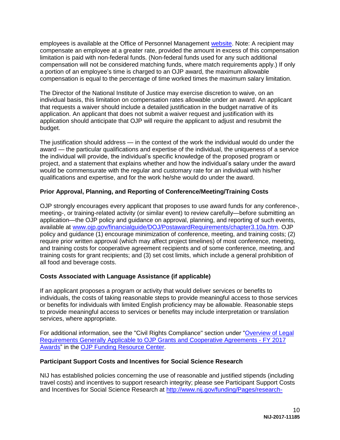employees is available at the Office of Personnel Management [website.](http://www.opm.gov/policy-data-oversight/pay-leave/salaries-wages/salary-tables/17Tables/exec/html/ES.aspx) Note: A recipient may compensate an employee at a greater rate, provided the amount in excess of this compensation limitation is paid with non-federal funds. (Non-federal funds used for any such additional compensation will not be considered matching funds, where match requirements apply.) If only a portion of an employee's time is charged to an OJP award, the maximum allowable compensation is equal to the percentage of time worked times the maximum salary limitation.

The Director of the National Institute of Justice may exercise discretion to waive, on an individual basis, this limitation on compensation rates allowable under an award. An applicant that requests a waiver should include a detailed justification in the budget narrative of its application. An applicant that does not submit a waiver request and justification with its application should anticipate that OJP will require the applicant to adjust and resubmit the budget.

The justification should address — in the context of the work the individual would do under the award — the particular qualifications and expertise of the individual, the uniqueness of a service the individual will provide, the individual's specific knowledge of the proposed program or project, and a statement that explains whether and how the individual's salary under the award would be commensurate with the regular and customary rate for an individual with his/her qualifications and expertise, and for the work he/she would do under the award.

# <span id="page-10-0"></span>**Prior Approval, Planning, and Reporting of Conference/Meeting/Training Costs**

OJP strongly encourages every applicant that proposes to use award funds for any conference-, meeting-, or training-related activity (or similar event) to review carefully—before submitting an application—the OJP policy and guidance on approval, planning, and reporting of such events, available at [www.ojp.gov/financialguide/DOJ/PostawardRequirements/chapter3.10a.htm.](http://ojp.gov/financialguide/DOJ/PostawardRequirements/chapter3.10a.htm) OJP policy and guidance (1) encourage minimization of conference, meeting, and training costs; (2) require prior written approval (which may affect project timelines) of most conference, meeting, and training costs for cooperative agreement recipients and of some conference, meeting, and training costs for grant recipients; and (3) set cost limits, which include a general prohibition of all food and beverage costs.

## <span id="page-10-1"></span>**Costs Associated with Language Assistance (if applicable)**

If an applicant proposes a program or activity that would deliver services or benefits to individuals, the costs of taking reasonable steps to provide meaningful access to those services or benefits for individuals with limited English proficiency may be allowable. Reasonable steps to provide meaningful access to services or benefits may include interpretation or translation services, where appropriate.

For additional information, see the "Civil Rights Compliance" section under ["Overview of Legal](http://ojp.gov/funding/Explore/SolicitationRequirements/index.htm)  [Requirements Generally Applicable to OJP Grants and Cooperative Agreements -](http://ojp.gov/funding/Explore/SolicitationRequirements/index.htm) FY 2017 [Awards"](http://ojp.gov/funding/Explore/SolicitationRequirements/index.htm) in the [OJP Funding Resource Center.](http://ojp.gov/funding/index.htm)

## **Participant Support Costs and Incentives for Social Science Research**

NIJ has established policies concerning the use of reasonable and justified stipends (including travel costs) and incentives to support research integrity; please see Participant Support Costs and Incentives for Social Science Research at [http://www.nij.gov/funding/Pages/research-](http://www.nij.gov/funding/Pages/research-participant-costs-and-incentives.aspx)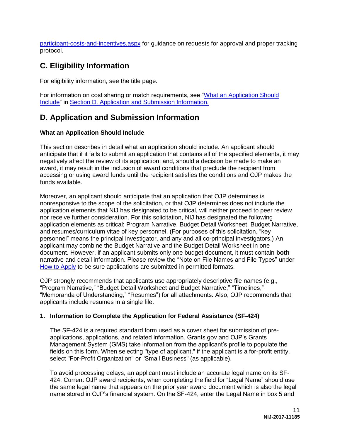[participant-costs-and-incentives.aspx](http://www.nij.gov/funding/Pages/research-participant-costs-and-incentives.aspx) for guidance on requests for approval and proper tracking protocol.

# <span id="page-11-1"></span>**C. Eligibility Information**

For eligibility information, see the title page.

For information on cost sharing or match requirements, see ["What an Application Should](#page-11-2)  [Include"](#page-11-2) in [Section D. Application and Submission Information.](#page-11-0)

# <span id="page-11-0"></span>**D. Application and Submission Information**

# <span id="page-11-2"></span>**What an Application Should Include**

This section describes in detail what an application should include. An applicant should anticipate that if it fails to submit an application that contains all of the specified elements, it may negatively affect the review of its application; and, should a decision be made to make an award, it may result in the inclusion of award conditions that preclude the recipient from accessing or using award funds until the recipient satisfies the conditions and OJP makes the funds available.

Moreover, an applicant should anticipate that an application that OJP determines is nonresponsive to the scope of the solicitation, or that OJP determines does not include the application elements that NIJ has designated to be critical, will neither proceed to peer review nor receive further consideration. For this solicitation, NIJ has designated the following application elements as critical: Program Narrative, Budget Detail Worksheet, Budget Narrative, and resumes/curriculum vitae of key personnel. (For purposes of this solicitation, "key personnel" means the principal investigator, and any and all co-principal investigators.) An applicant may combine the Budget Narrative and the Budget Detail Worksheet in one document. However, if an applicant submits only one budget document, it must contain **both** narrative and detail information. Please review the "Note on File Names and File Types" under [How to Apply](#page-24-0) to be sure applications are submitted in permitted formats.

OJP strongly recommends that applicants use appropriately descriptive file names (e.g., "Program Narrative," "Budget Detail Worksheet and Budget Narrative," "Timelines," "Memoranda of Understanding," "Resumes") for all attachments. Also, OJP recommends that applicants include resumes in a single file.

## **1. Information to Complete the Application for Federal Assistance (SF-424)**

The SF-424 is a required standard form used as a cover sheet for submission of preapplications, applications, and related information. Grants.gov and OJP's Grants Management System (GMS) take information from the applicant's profile to populate the fields on this form. When selecting "type of applicant," if the applicant is a for-profit entity, select "For-Profit Organization" or "Small Business" (as applicable).

To avoid processing delays, an applicant must include an accurate legal name on its SF-424. Current OJP award recipients, when completing the field for "Legal Name" should use the same legal name that appears on the prior year award document which is also the legal name stored in OJP's financial system. On the SF-424, enter the Legal Name in box 5 and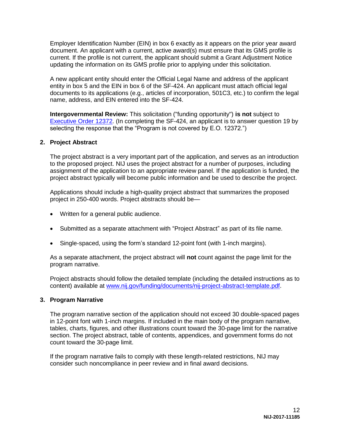Employer Identification Number (EIN) in box 6 exactly as it appears on the prior year award document. An applicant with a current, active award(s) must ensure that its GMS profile is current. If the profile is not current, the applicant should submit a Grant Adjustment Notice updating the information on its GMS profile prior to applying under this solicitation.

A new applicant entity should enter the Official Legal Name and address of the applicant entity in box 5 and the EIN in box 6 of the SF-424. An applicant must attach official legal documents to its applications (e.g., articles of incorporation, 501C3, etc.) to confirm the legal name, address, and EIN entered into the SF-424.

**Intergovernmental Review:** This solicitation ("funding opportunity") **is not** subject to [Executive Order 12372.](http://www.archives.gov/federal-register/codification/executive-order/12372.html) (In completing the SF-424, an applicant is to answer question 19 by selecting the response that the "Program is not covered by E.O. 12372.")

#### **2. Project Abstract**

The project abstract is a very important part of the application, and serves as an introduction to the proposed project. NIJ uses the project abstract for a number of purposes, including assignment of the application to an appropriate review panel. If the application is funded, the project abstract typically will become public information and be used to describe the project.

Applications should include a high-quality project abstract that summarizes the proposed project in 250-400 words. Project abstracts should be—

- Written for a general public audience.
- Submitted as a separate attachment with "Project Abstract" as part of its file name.
- Single-spaced, using the form's standard 12-point font (with 1-inch margins).

As a separate attachment, the project abstract will **not** count against the page limit for the program narrative.

Project abstracts should follow the detailed template (including the detailed instructions as to content) available at [www.nij.gov/funding/documents/nij-project-abstract-template.pdf.](http://nij.gov/funding/documents/nij-project-abstract-template.pdf)

#### **3. Program Narrative**

The program narrative section of the application should not exceed 30 double-spaced pages in 12-point font with 1-inch margins. If included in the main body of the program narrative, tables, charts, figures, and other illustrations count toward the 30-page limit for the narrative section. The project abstract, table of contents, appendices, and government forms do not count toward the 30-page limit.

If the program narrative fails to comply with these length-related restrictions, NIJ may consider such noncompliance in peer review and in final award decisions.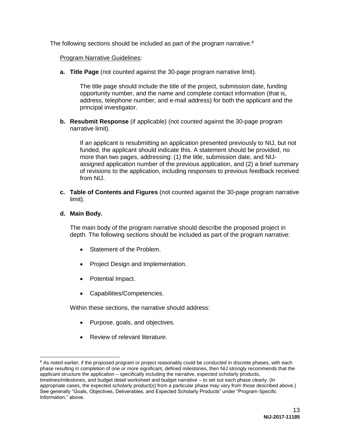The following sections should be included as part of the program narrative.<sup>8</sup>

#### Program Narrative Guidelines:

**a. Title Page** (not counted against the 30-page program narrative limit).

The title page should include the title of the project, submission date, funding opportunity number, and the name and complete contact information (that is, address, telephone number, and e-mail address) for both the applicant and the principal investigator.

**b. Resubmit Response** (if applicable) (not counted against the 30-page program narrative limit).

If an applicant is resubmitting an application presented previously to NIJ, but not funded, the applicant should indicate this. A statement should be provided, no more than two pages, addressing: (1) the title, submission date, and NIJassigned application number of the previous application, and (2) a brief summary of revisions to the application, including responses to previous feedback received from NIJ.

**c. Table of Contents and Figures** (not counted against the 30-page program narrative limit).

## **d. Main Body.**

 $\overline{a}$ 

The main body of the program narrative should describe the proposed project in depth. The following sections should be included as part of the program narrative:

- Statement of the Problem.
- Project Design and Implementation.
- Potential Impact.
- Capabilities/Competencies.

Within these sections, the narrative should address:

- Purpose, goals, and objectives.
- Review of relevant literature.

<sup>&</sup>lt;sup>8</sup> As noted earlier, if the proposed program or project reasonably could be conducted in discrete phases, with each phase resulting in completion of one or more significant, defined milestones, then NIJ strongly recommends that the applicant structure the application – specifically including the narrative, expected scholarly products, timelines/milestones, and budget detail worksheet and budget narrative – to set out each phase clearly. (In appropriate cases, the expected scholarly product(s) from a particular phase may vary from those described above.) See generally "Goals, Objectives, Deliverables, and Expected Scholarly Products" under "Program-Specific Information," above.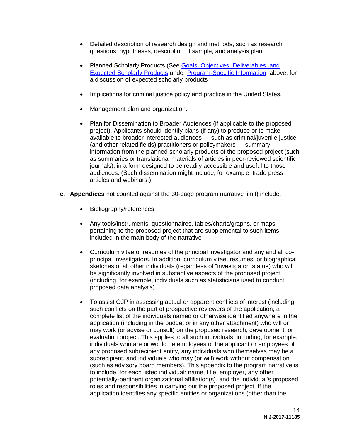- Detailed description of research design and methods, such as research questions, hypotheses, description of sample, and analysis plan.
- Planned Scholarly Products (See Goals, Objectives, Deliverables, and [Expected Scholarly Products](#page-6-0) under [Program-Specific Information,](#page-4-2) above, for a discussion of expected scholarly products
- Implications for criminal justice policy and practice in the United States.
- Management plan and organization.
- Plan for Dissemination to Broader Audiences (if applicable to the proposed project). Applicants should identify plans (if any) to produce or to make available to broader interested audiences — such as criminal/juvenile justice (and other related fields) practitioners or policymakers — summary information from the planned scholarly products of the proposed project (such as summaries or translational materials of articles in peer-reviewed scientific journals), in a form designed to be readily accessible and useful to those audiences. (Such dissemination might include, for example, trade press articles and webinars.)
- **e. Appendices** not counted against the 30-page program narrative limit) include:
	- Bibliography/references
	- Any tools/instruments, questionnaires, tables/charts/graphs, or maps pertaining to the proposed project that are supplemental to such items included in the main body of the narrative
	- Curriculum vitae or resumes of the principal investigator and any and all coprincipal investigators. In addition, curriculum vitae, resumes, or biographical sketches of all other individuals (regardless of "investigator" status) who will be significantly involved in substantive aspects of the proposed project (including, for example, individuals such as statisticians used to conduct proposed data analysis)
	- To assist OJP in assessing actual or apparent conflicts of interest (including such conflicts on the part of prospective reviewers of the application, a complete list of the individuals named or otherwise identified anywhere in the application (including in the budget or in any other attachment) who will or may work (or advise or consult) on the proposed research, development, or evaluation project. This applies to all such individuals, including, for example, individuals who are or would be employees of the applicant or employees of any proposed subrecipient entity, any individuals who themselves may be a subrecipient, and individuals who may (or will) work without compensation (such as advisory board members). This appendix to the program narrative is to include, for each listed individual: name, title, employer, any other potentially-pertinent organizational affiliation(s), and the individual's proposed roles and responsibilities in carrying out the proposed project. If the application identifies any specific entities or organizations (other than the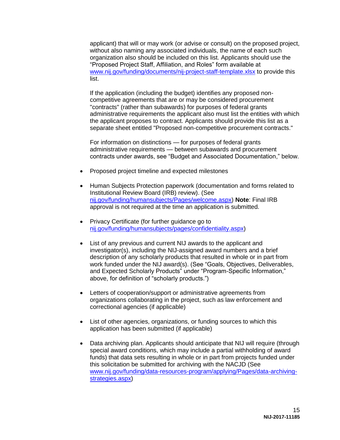applicant) that will or may work (or advise or consult) on the proposed project, without also naming any associated individuals, the name of each such organization also should be included on this list. Applicants should use the "Proposed Project Staff, Affiliation, and Roles" form available at [www.nij.gov/funding/documents/nij-project-staff-template.xlsx](http://www.nij.gov/funding/documents/nij-project-staff-template.xlsx) to provide this list.

If the application (including the budget) identifies any proposed noncompetitive agreements that are or may be considered procurement "contracts" (rather than subawards) for purposes of federal grants administrative requirements the applicant also must list the entities with which the applicant proposes to contract. Applicants should provide this list as a separate sheet entitled "Proposed non-competitive procurement contracts."

For information on distinctions — for purposes of federal grants administrative requirements — between subawards and procurement contracts under awards, see "Budget and Associated Documentation," below.

- Proposed project timeline and expected milestones
- Human Subjects Protection paperwork (documentation and forms related to Institutional Review Board (IRB) review). (See [nij.gov/funding/humansubjects/Pages/welcome.aspx\)](http://nij.gov/funding/humansubjects/Pages/welcome.aspx) **Note**: Final IRB approval is not required at the time an application is submitted.
- Privacy Certificate (for further guidance go to [nij.gov/funding/humansubjects/pages/confidentiality.aspx\)](http://nij.gov/funding/humansubjects/pages/confidentiality.aspx)
- List of any previous and current NIJ awards to the applicant and investigator(s), including the NIJ-assigned award numbers and a brief description of any scholarly products that resulted in whole or in part from work funded under the NIJ award(s). (See "Goals, Objectives, Deliverables, and Expected Scholarly Products" under "Program-Specific Information," above, for definition of "scholarly products.")
- Letters of cooperation/support or administrative agreements from organizations collaborating in the project, such as law enforcement and correctional agencies (if applicable)
- List of other agencies, organizations, or funding sources to which this application has been submitted (if applicable)
- Data archiving plan. Applicants should anticipate that NIJ will require (through special award conditions, which may include a partial withholding of award funds) that data sets resulting in whole or in part from projects funded under this solicitation be submitted for archiving with the NACJD (See [www.nij.gov/funding/data-resources-program/applying/Pages/data-archiving](http://www.nij.gov/funding/data-resources-program/applying/Pages/data-archiving-strategies.aspx)[strategies.aspx\)](http://www.nij.gov/funding/data-resources-program/applying/Pages/data-archiving-strategies.aspx)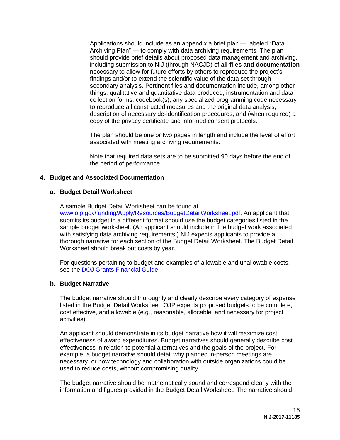Applications should include as an appendix a brief plan — labeled "Data Archiving Plan" — to comply with data archiving requirements. The plan should provide brief details about proposed data management and archiving, including submission to NIJ (through NACJD) of **all files and documentation** necessary to allow for future efforts by others to reproduce the project's findings and/or to extend the scientific value of the data set through secondary analysis. Pertinent files and documentation include, among other things, qualitative and quantitative data produced, instrumentation and data collection forms, codebook(s), any specialized programming code necessary to reproduce all constructed measures and the original data analysis, description of necessary de-identification procedures, and (when required) a copy of the privacy certificate and informed consent protocols.

The plan should be one or two pages in length and include the level of effort associated with meeting archiving requirements.

Note that required data sets are to be submitted 90 days before the end of the period of performance.

#### **4. Budget and Associated Documentation**

#### **a. Budget Detail Worksheet**

A sample Budget Detail Worksheet can be found at [www.ojp.gov/funding/Apply/Resources/BudgetDetailWorksheet.pdf.](http://ojp.gov/funding/Apply/Resources/BudgetDetailWorksheet.pdf) An applicant that submits its budget in a different format should use the budget categories listed in the sample budget worksheet. (An applicant should include in the budget work associated with satisfying data archiving requirements.) NIJ expects applicants to provide a thorough narrative for each section of the Budget Detail Worksheet. The Budget Detail Worksheet should break out costs by year.

For questions pertaining to budget and examples of allowable and unallowable costs, see the [DOJ Grants Financial Guide.](http://ojp.gov/financialguide/DOJ/index.htm)

#### **b. Budget Narrative**

The budget narrative should thoroughly and clearly describe every category of expense listed in the Budget Detail Worksheet. OJP expects proposed budgets to be complete, cost effective, and allowable (e.g., reasonable, allocable, and necessary for project activities).

An applicant should demonstrate in its budget narrative how it will maximize cost effectiveness of award expenditures. Budget narratives should generally describe cost effectiveness in relation to potential alternatives and the goals of the project. For example, a budget narrative should detail why planned in-person meetings are necessary, or how technology and collaboration with outside organizations could be used to reduce costs, without compromising quality.

The budget narrative should be mathematically sound and correspond clearly with the information and figures provided in the Budget Detail Worksheet. The narrative should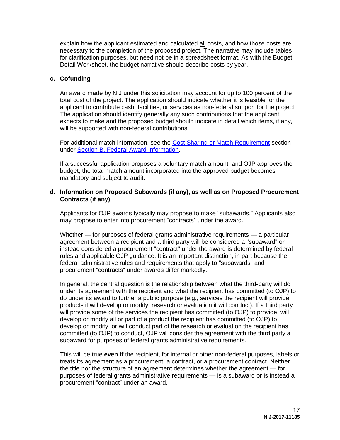explain how the applicant estimated and calculated all costs, and how those costs are necessary to the completion of the proposed project. The narrative may include tables for clarification purposes, but need not be in a spreadsheet format. As with the Budget Detail Worksheet, the budget narrative should describe costs by year.

#### **c. Cofunding**

An award made by NIJ under this solicitation may account for up to 100 percent of the total cost of the project. The application should indicate whether it is feasible for the applicant to contribute cash, facilities, or services as non-federal support for the project. The application should identify generally any such contributions that the applicant expects to make and the proposed budget should indicate in detail which items, if any, will be supported with non-federal contributions.

For additional match information, see the [Cost Sharing or Match Requirement](#page-9-1) section under **Section B. Federal Award Information**.

If a successful application proposes a voluntary match amount, and OJP approves the budget, the total match amount incorporated into the approved budget becomes mandatory and subject to audit.

#### **d. Information on Proposed Subawards (if any), as well as on Proposed Procurement Contracts (if any)**

Applicants for OJP awards typically may propose to make "subawards." Applicants also may propose to enter into procurement "contracts" under the award.

Whether — for purposes of federal grants administrative requirements — a particular agreement between a recipient and a third party will be considered a "subaward" or instead considered a procurement "contract" under the award is determined by federal rules and applicable OJP guidance. It is an important distinction, in part because the federal administrative rules and requirements that apply to "subawards" and procurement "contracts" under awards differ markedly.

In general, the central question is the relationship between what the third-party will do under its agreement with the recipient and what the recipient has committed (to OJP) to do under its award to further a public purpose (e.g., services the recipient will provide, products it will develop or modify, research or evaluation it will conduct). If a third party will provide some of the services the recipient has committed (to OJP) to provide, will develop or modify all or part of a product the recipient has committed (to OJP) to develop or modify, or will conduct part of the research or evaluation the recipient has committed (to OJP) to conduct, OJP will consider the agreement with the third party a subaward for purposes of federal grants administrative requirements.

This will be true **even if** the recipient, for internal or other non-federal purposes, labels or treats its agreement as a procurement, a contract, or a procurement contract. Neither the title nor the structure of an agreement determines whether the agreement — for purposes of federal grants administrative requirements — is a subaward or is instead a procurement "contract" under an award.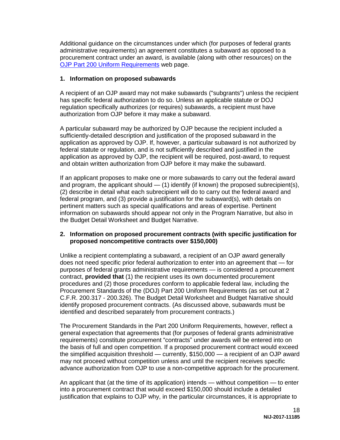Additional guidance on the circumstances under which (for purposes of federal grants administrative requirements) an agreement constitutes a subaward as opposed to a procurement contract under an award, is available (along with other resources) on the [OJP Part 200 Uniform Requirements](http://ojp.gov/funding/Part200UniformRequirements.htm) web page.

#### **1. Information on proposed subawards**

A recipient of an OJP award may not make subawards ("subgrants") unless the recipient has specific federal authorization to do so. Unless an applicable statute or DOJ regulation specifically authorizes (or requires) subawards, a recipient must have authorization from OJP before it may make a subaward.

A particular subaward may be authorized by OJP because the recipient included a sufficiently-detailed description and justification of the proposed subaward in the application as approved by OJP. If, however, a particular subaward is not authorized by federal statute or regulation, and is not sufficiently described and justified in the application as approved by OJP, the recipient will be required, post-award, to request and obtain written authorization from OJP before it may make the subaward.

If an applicant proposes to make one or more subawards to carry out the federal award and program, the applicant should — (1) identify (if known) the proposed subrecipient(s), (2) describe in detail what each subrecipient will do to carry out the federal award and federal program, and (3) provide a justification for the subaward(s), with details on pertinent matters such as special qualifications and areas of expertise. Pertinent information on subawards should appear not only in the Program Narrative, but also in the Budget Detail Worksheet and Budget Narrative.

#### **2. Information on proposed procurement contracts (with specific justification for proposed noncompetitive contracts over \$150,000)**

Unlike a recipient contemplating a subaward, a recipient of an OJP award generally does not need specific prior federal authorization to enter into an agreement that — for purposes of federal grants administrative requirements — is considered a procurement contract, **provided that** (1) the recipient uses its own documented procurement procedures and (2) those procedures conform to applicable federal law, including the Procurement Standards of the (DOJ) Part 200 Uniform Requirements (as set out at 2 C.F.R. 200.317 - 200.326). The Budget Detail Worksheet and Budget Narrative should identify proposed procurement contracts. (As discussed above, subawards must be identified and described separately from procurement contracts.)

The Procurement Standards in the Part 200 Uniform Requirements, however, reflect a general expectation that agreements that (for purposes of federal grants administrative requirements) constitute procurement "contracts" under awards will be entered into on the basis of full and open competition. If a proposed procurement contract would exceed the simplified acquisition threshold — currently, \$150,000 — a recipient of an OJP award may not proceed without competition unless and until the recipient receives specific advance authorization from OJP to use a non-competitive approach for the procurement.

An applicant that (at the time of its application) intends — without competition — to enter into a procurement contract that would exceed \$150,000 should include a detailed justification that explains to OJP why, in the particular circumstances, it is appropriate to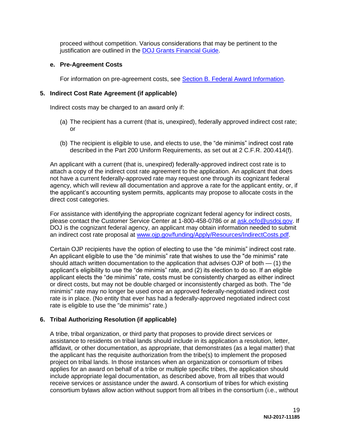proceed without competition. Various considerations that may be pertinent to the justification are outlined in the [DOJ Grants Financial Guide.](http://ojp.gov/financialguide/DOJ/index.htm)

#### **e. Pre-Agreement Costs**

For information on pre-agreement costs, see [Section B. Federal Award Information.](#page-7-0)

#### **5. Indirect Cost Rate Agreement (if applicable)**

Indirect costs may be charged to an award only if:

- (a) The recipient has a current (that is, unexpired), federally approved indirect cost rate; or
- (b) The recipient is eligible to use, and elects to use, the "de minimis" indirect cost rate described in the Part 200 Uniform Requirements, as set out at 2 C.F.R. 200.414(f).

An applicant with a current (that is, unexpired) federally-approved indirect cost rate is to attach a copy of the indirect cost rate agreement to the application. An applicant that does not have a current federally-approved rate may request one through its cognizant federal agency, which will review all documentation and approve a rate for the applicant entity, or, if the applicant's accounting system permits, applicants may propose to allocate costs in the direct cost categories.

For assistance with identifying the appropriate cognizant federal agency for indirect costs, please contact the Customer Service Center at 1-800-458-0786 or at [ask.ocfo@usdoj.gov.](mailto:ask.ocfo@usdoj.gov) If DOJ is the cognizant federal agency, an applicant may obtain information needed to submit an indirect cost rate proposal at [www.ojp.gov/funding/Apply/Resources/IndirectCosts.pdf.](http://www.ojp.gov/funding/Apply/Resources/IndirectCosts.pdf)

Certain OJP recipients have the option of electing to use the "de minimis" indirect cost rate. An applicant eligible to use the "de minimis" rate that wishes to use the "de minimis" rate should attach written documentation to the application that advises OJP of both — (1) the applicant's eligibility to use the "de minimis" rate, and (2) its election to do so. If an eligible applicant elects the "de minimis" rate, costs must be consistently charged as either indirect or direct costs, but may not be double charged or inconsistently charged as both. The "de minimis" rate may no longer be used once an approved federally-negotiated indirect cost rate is in place. (No entity that ever has had a federally-approved negotiated indirect cost rate is eligible to use the "de minimis" rate.)

#### **6. Tribal Authorizing Resolution (if applicable)**

A tribe, tribal organization, or third party that proposes to provide direct services or assistance to residents on tribal lands should include in its application a resolution, letter, affidavit, or other documentation, as appropriate, that demonstrates (as a legal matter) that the applicant has the requisite authorization from the tribe(s) to implement the proposed project on tribal lands. In those instances when an organization or consortium of tribes applies for an award on behalf of a tribe or multiple specific tribes, the application should include appropriate legal documentation, as described above, from all tribes that would receive services or assistance under the award. A consortium of tribes for which existing consortium bylaws allow action without support from all tribes in the consortium (i.e., without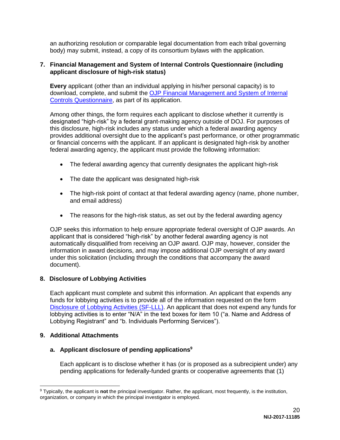an authorizing resolution or comparable legal documentation from each tribal governing body) may submit, instead, a copy of its consortium bylaws with the application.

#### **7. Financial Management and System of Internal Controls Questionnaire (including applicant disclosure of high-risk status)**

**Every** applicant (other than an individual applying in his/her personal capacity) is to download, complete, and submit the [OJP Financial Management and System of Internal](http://ojp.gov/funding/Apply/Resources/FinancialCapability.pdf)  [Controls Questionnaire,](http://ojp.gov/funding/Apply/Resources/FinancialCapability.pdf) as part of its application.

Among other things, the form requires each applicant to disclose whether it currently is designated "high-risk" by a federal grant-making agency outside of DOJ. For purposes of this disclosure, high-risk includes any status under which a federal awarding agency provides additional oversight due to the applicant's past performance, or other programmatic or financial concerns with the applicant. If an applicant is designated high-risk by another federal awarding agency, the applicant must provide the following information:

- The federal awarding agency that currently designates the applicant high-risk
- The date the applicant was designated high-risk
- The high-risk point of contact at that federal awarding agency (name, phone number, and email address)
- The reasons for the high-risk status, as set out by the federal awarding agency

OJP seeks this information to help ensure appropriate federal oversight of OJP awards. An applicant that is considered "high-risk" by another federal awarding agency is not automatically disqualified from receiving an OJP award. OJP may, however, consider the information in award decisions, and may impose additional OJP oversight of any award under this solicitation (including through the conditions that accompany the award document).

#### **8. Disclosure of Lobbying Activities**

Each applicant must complete and submit this information. An applicant that expends any funds for lobbying activities is to provide all of the information requested on the form [Disclosure of Lobbying Activities \(SF-LLL\).](http://ojp.gov/funding/Apply/Resources/Disclosure.pdf) An applicant that does not expend any funds for lobbying activities is to enter "N/A" in the text boxes for item 10 ("a. Name and Address of Lobbying Registrant" and "b. Individuals Performing Services").

#### **9. Additional Attachments**

#### **a. Applicant disclosure of pending applications<sup>9</sup>**

Each applicant is to disclose whether it has (or is proposed as a subrecipient under) any pending applications for federally-funded grants or cooperative agreements that (1)

 $\overline{a}$ <sup>9</sup> Typically, the applicant is **not** the principal investigator. Rather, the applicant, most frequently, is the institution, organization, or company in which the principal investigator is employed.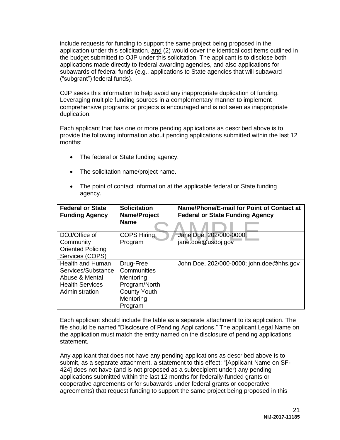include requests for funding to support the same project being proposed in the application under this solicitation, and (2) would cover the identical cost items outlined in the budget submitted to OJP under this solicitation. The applicant is to disclose both applications made directly to federal awarding agencies, and also applications for subawards of federal funds (e.g., applications to State agencies that will subaward ("subgrant") federal funds).

OJP seeks this information to help avoid any inappropriate duplication of funding. Leveraging multiple funding sources in a complementary manner to implement comprehensive programs or projects is encouraged and is not seen as inappropriate duplication.

Each applicant that has one or more pending applications as described above is to provide the following information about pending applications submitted within the last 12 months:

- The federal or State funding agency.
- The solicitation name/project name.
- The point of contact information at the applicable federal or State funding agency.

| <b>Federal or State</b><br><b>Funding Agency</b> | <b>Solicitation</b><br>Name/Project<br><b>Name</b> | Name/Phone/E-mail for Point of Contact at<br><b>Federal or State Funding Agency</b> |
|--------------------------------------------------|----------------------------------------------------|-------------------------------------------------------------------------------------|
|                                                  |                                                    |                                                                                     |
| DOJ/Office of                                    | <b>COPS Hiring</b>                                 | Jane Doe, 202/000-0000;                                                             |
| Community                                        | Program                                            | jane.doe@usdoj.gov                                                                  |
| <b>Oriented Policing</b>                         |                                                    |                                                                                     |
| Services (COPS)                                  |                                                    |                                                                                     |
| <b>Health and Human</b>                          | Drug-Free                                          | John Doe, 202/000-0000; john.doe@hhs.gov                                            |
| Services/Substance                               | Communities                                        |                                                                                     |
| Abuse & Mental                                   | Mentoring                                          |                                                                                     |
| <b>Health Services</b>                           | Program/North                                      |                                                                                     |
| Administration                                   | <b>County Youth</b>                                |                                                                                     |
|                                                  | Mentoring                                          |                                                                                     |
|                                                  | Program                                            |                                                                                     |

Each applicant should include the table as a separate attachment to its application. The file should be named "Disclosure of Pending Applications." The applicant Legal Name on the application must match the entity named on the disclosure of pending applications statement.

Any applicant that does not have any pending applications as described above is to submit, as a separate attachment, a statement to this effect: "[Applicant Name on SF-424] does not have (and is not proposed as a subrecipient under) any pending applications submitted within the last 12 months for federally-funded grants or cooperative agreements or for subawards under federal grants or cooperative agreements) that request funding to support the same project being proposed in this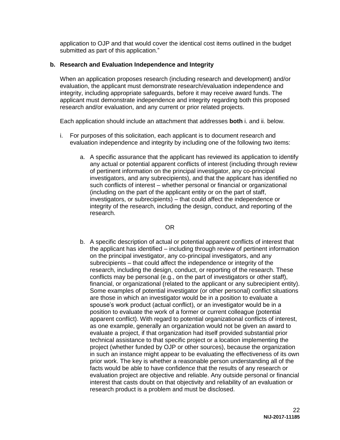application to OJP and that would cover the identical cost items outlined in the budget submitted as part of this application."

#### **b. Research and Evaluation Independence and Integrity**

When an application proposes research (including research and development) and/or evaluation, the applicant must demonstrate research/evaluation independence and integrity, including appropriate safeguards, before it may receive award funds. The applicant must demonstrate independence and integrity regarding both this proposed research and/or evaluation, and any current or prior related projects.

Each application should include an attachment that addresses **both** i. and ii. below.

- i. For purposes of this solicitation, each applicant is to document research and evaluation independence and integrity by including one of the following two items:
	- a. A specific assurance that the applicant has reviewed its application to identify any actual or potential apparent conflicts of interest (including through review of pertinent information on the principal investigator, any co-principal investigators, and any subrecipients), and that the applicant has identified no such conflicts of interest – whether personal or financial or organizational (including on the part of the applicant entity or on the part of staff, investigators, or subrecipients) – that could affect the independence or integrity of the research, including the design, conduct, and reporting of the research.

#### OR

b. A specific description of actual or potential apparent conflicts of interest that the applicant has identified – including through review of pertinent information on the principal investigator, any co-principal investigators, and any subrecipients – that could affect the independence or integrity of the research, including the design, conduct, or reporting of the research. These conflicts may be personal (e.g., on the part of investigators or other staff), financial, or organizational (related to the applicant or any subrecipient entity). Some examples of potential investigator (or other personal) conflict situations are those in which an investigator would be in a position to evaluate a spouse's work product (actual conflict), or an investigator would be in a position to evaluate the work of a former or current colleague (potential apparent conflict). With regard to potential organizational conflicts of interest, as one example, generally an organization would not be given an award to evaluate a project, if that organization had itself provided substantial prior technical assistance to that specific project or a location implementing the project (whether funded by OJP or other sources), because the organization in such an instance might appear to be evaluating the effectiveness of its own prior work. The key is whether a reasonable person understanding all of the facts would be able to have confidence that the results of any research or evaluation project are objective and reliable. Any outside personal or financial interest that casts doubt on that objectivity and reliability of an evaluation or research product is a problem and must be disclosed.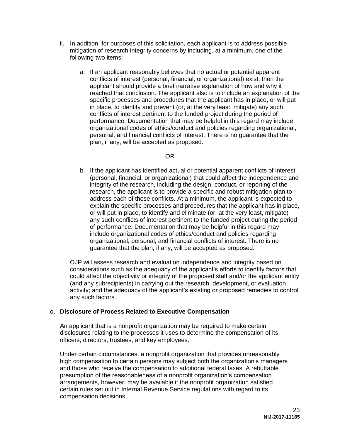- ii. In addition, for purposes of this solicitation, each applicant is to address possible mitigation of research integrity concerns by including, at a minimum, one of the following two items:
	- a. If an applicant reasonably believes that no actual or potential apparent conflicts of interest (personal, financial, or organizational) exist, then the applicant should provide a brief narrative explanation of how and why it reached that conclusion. The applicant also is to include an explanation of the specific processes and procedures that the applicant has in place, or will put in place, to identify and prevent (or, at the very least, mitigate) any such conflicts of interest pertinent to the funded project during the period of performance. Documentation that may be helpful in this regard may include organizational codes of ethics/conduct and policies regarding organizational, personal, and financial conflicts of interest. There is no guarantee that the plan, if any, will be accepted as proposed.

## OR

b. If the applicant has identified actual or potential apparent conflicts of interest (personal, financial, or organizational) that could affect the independence and integrity of the research, including the design, conduct, or reporting of the research, the applicant is to provide a specific and robust mitigation plan to address each of those conflicts. At a minimum, the applicant is expected to explain the specific processes and procedures that the applicant has in place, or will put in place, to identify and eliminate (or, at the very least, mitigate) any such conflicts of interest pertinent to the funded project during the period of performance. Documentation that may be helpful in this regard may include organizational codes of ethics/conduct and policies regarding organizational, personal, and financial conflicts of interest. There is no guarantee that the plan, if any, will be accepted as proposed.

OJP will assess research and evaluation independence and integrity based on considerations such as the adequacy of the applicant's efforts to identify factors that could affect the objectivity or integrity of the proposed staff and/or the applicant entity (and any subrecipients) in carrying out the research, development, or evaluation activity; and the adequacy of the applicant's existing or proposed remedies to control any such factors.

#### **c. Disclosure of Process Related to Executive Compensation**

An applicant that is a nonprofit organization may be required to make certain disclosures relating to the processes it uses to determine the compensation of its officers, directors, trustees, and key employees.

Under certain circumstances, a nonprofit organization that provides unreasonably high compensation to certain persons may subject both the organization's managers and those who receive the compensation to additional federal taxes. A rebuttable presumption of the reasonableness of a nonprofit organization's compensation arrangements, however, may be available if the nonprofit organization satisfied certain rules set out in Internal Revenue Service regulations with regard to its compensation decisions.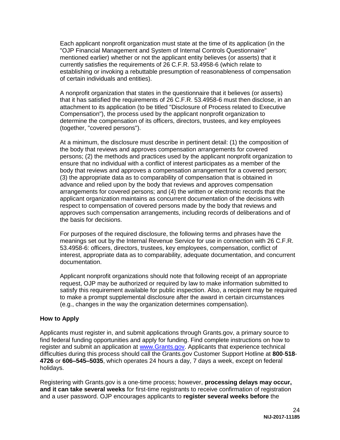Each applicant nonprofit organization must state at the time of its application (in the "OJP Financial Management and System of Internal Controls Questionnaire" mentioned earlier) whether or not the applicant entity believes (or asserts) that it currently satisfies the requirements of 26 C.F.R. 53.4958-6 (which relate to establishing or invoking a rebuttable presumption of reasonableness of compensation of certain individuals and entities).

A nonprofit organization that states in the questionnaire that it believes (or asserts) that it has satisfied the requirements of 26 C.F.R. 53.4958-6 must then disclose, in an attachment to its application (to be titled "Disclosure of Process related to Executive Compensation"), the process used by the applicant nonprofit organization to determine the compensation of its officers, directors, trustees, and key employees (together, "covered persons").

At a minimum, the disclosure must describe in pertinent detail: (1) the composition of the body that reviews and approves compensation arrangements for covered persons; (2) the methods and practices used by the applicant nonprofit organization to ensure that no individual with a conflict of interest participates as a member of the body that reviews and approves a compensation arrangement for a covered person; (3) the appropriate data as to comparability of compensation that is obtained in advance and relied upon by the body that reviews and approves compensation arrangements for covered persons; and (4) the written or electronic records that the applicant organization maintains as concurrent documentation of the decisions with respect to compensation of covered persons made by the body that reviews and approves such compensation arrangements, including records of deliberations and of the basis for decisions.

For purposes of the required disclosure, the following terms and phrases have the meanings set out by the Internal Revenue Service for use in connection with 26 C.F.R. 53.4958-6: officers, directors, trustees, key employees, compensation, conflict of interest, appropriate data as to comparability, adequate documentation, and concurrent documentation.

Applicant nonprofit organizations should note that following receipt of an appropriate request, OJP may be authorized or required by law to make information submitted to satisfy this requirement available for public inspection. Also, a recipient may be required to make a prompt supplemental disclosure after the award in certain circumstances (e.g., changes in the way the organization determines compensation).

#### <span id="page-24-0"></span>**How to Apply**

Applicants must register in, and submit applications through Grants.gov, a primary source to find federal funding opportunities and apply for funding. Find complete instructions on how to register and submit an application at [www.Grants.gov.](http://www.grants.gov/) Applicants that experience technical difficulties during this process should call the Grants.gov Customer Support Hotline at **800**-**518**- **4726** or **606–545–5035**, which operates 24 hours a day, 7 days a week, except on federal holidays.

Registering with Grants.gov is a one-time process; however, **processing delays may occur, and it can take several weeks** for first-time registrants to receive confirmation of registration and a user password. OJP encourages applicants to **register several weeks before** the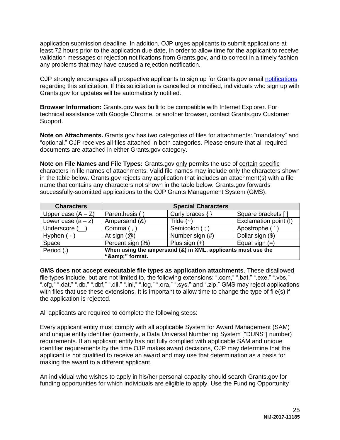application submission deadline. In addition, OJP urges applicants to submit applications at least 72 hours prior to the application due date, in order to allow time for the applicant to receive validation messages or rejection notifications from Grants.gov, and to correct in a timely fashion any problems that may have caused a rejection notification.

OJP strongly encourages all prospective applicants to sign up for Grants.gov email [notifications](http://www.grants.gov/web/grants/manage-subscriptions.html) regarding this solicitation. If this solicitation is cancelled or modified, individuals who sign up with Grants.gov for updates will be automatically notified.

**Browser Information:** Grants.gov was built to be compatible with Internet Explorer. For technical assistance with Google Chrome, or another browser, contact Grants.gov Customer Support.

**Note on Attachments.** Grants.gov has two categories of files for attachments: "mandatory" and "optional." OJP receives all files attached in both categories. Please ensure that all required documents are attached in either Grants.gov category.

**Note on File Names and File Types:** Grants.gov only permits the use of certain specific characters in file names of attachments. Valid file names may include only the characters shown in the table below. Grants.gov rejects any application that includes an attachment(s) with a file name that contains any characters not shown in the table below. Grants.gov forwards successfully-submitted applications to the OJP Grants Management System (GMS).

| <b>Characters</b>    | <b>Special Characters</b>                                    |                     |                       |
|----------------------|--------------------------------------------------------------|---------------------|-----------------------|
| Upper case $(A - Z)$ | Parenthesis (                                                | Curly braces $\{\}$ | Square brackets []    |
| Lower case $(a - z)$ | Ampersand (&)                                                | Tilde $(-)$         | Exclamation point (!) |
| Underscore (         | Comma (,                                                     | Semicolon (;)       | Apostrophe (          |
| Hyphen ( -           | At sign $(\mathcal{Q})$                                      | Number sign (#)     | Dollar sign (\$)      |
| Space                | Percent sign (%)                                             | Plus sign $(+)$     | Equal sign $(=)$      |
| Period (.)           | When using the ampersand (&) in XML, applicants must use the |                     |                       |
|                      | "&" format.                                                  |                     |                       |

**GMS does not accept executable file types as application attachments**. These disallowed file types include, but are not limited to, the following extensions: ".com," ".bat," ".exe," ".vbs," ".cfg," ".dat," ".db," ".dbf," ".dll," ".ini," ".log," ".ora," ".sys," and ".zip." GMS may reject applications with files that use these extensions. It is important to allow time to change the type of file(s) if the application is rejected.

All applicants are required to complete the following steps:

Every applicant entity must comply with all applicable System for Award Management (SAM) and unique entity identifier (currently, a Data Universal Numbering System ["DUNS"] number) requirements. If an applicant entity has not fully complied with applicable SAM and unique identifier requirements by the time OJP makes award decisions, OJP may determine that the applicant is not qualified to receive an award and may use that determination as a basis for making the award to a different applicant.

An individual who wishes to apply in his/her personal capacity should search Grants.gov for funding opportunities for which individuals are eligible to apply. Use the Funding Opportunity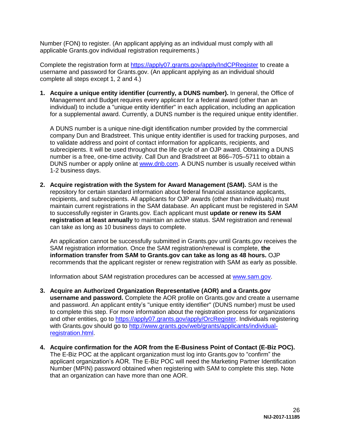Number (FON) to register. (An applicant applying as an individual must comply with all applicable Grants.gov individual registration requirements.)

Complete the registration form at<https://apply07.grants.gov/apply/IndCPRegister> to create a username and password for Grants.gov. (An applicant applying as an individual should complete all steps except 1, 2 and 4.)

**1. Acquire a unique entity identifier (currently, a DUNS number).** In general, the Office of Management and Budget requires every applicant for a federal award (other than an individual) to include a "unique entity identifier" in each application, including an application for a supplemental award. Currently, a DUNS number is the required unique entity identifier.

A DUNS number is a unique nine-digit identification number provided by the commercial company Dun and Bradstreet. This unique entity identifier is used for tracking purposes, and to validate address and point of contact information for applicants, recipients, and subrecipients. It will be used throughout the life cycle of an OJP award. Obtaining a DUNS number is a free, one-time activity. Call Dun and Bradstreet at 866–705–5711 to obtain a DUNS number or apply online at [www.dnb.com.](http://www.dnb.com/) A DUNS number is usually received within 1-2 business days.

**2. Acquire registration with the System for Award Management (SAM).** SAM is the repository for certain standard information about federal financial assistance applicants, recipients, and subrecipients. All applicants for OJP awards (other than individuals) must maintain current registrations in the SAM database. An applicant must be registered in SAM to successfully register in Grants.gov. Each applicant must **update or renew its SAM registration at least annually** to maintain an active status. SAM registration and renewal can take as long as 10 business days to complete.

An application cannot be successfully submitted in Grants.gov until Grants.gov receives the SAM registration information. Once the SAM registration/renewal is complete, **the information transfer from SAM to Grants.gov can take as long as 48 hours.** OJP recommends that the applicant register or renew registration with SAM as early as possible.

Information about SAM registration procedures can be accessed at [www.sam.gov.](https://www.sam.gov/portal/SAM/#1)

- **3. Acquire an Authorized Organization Representative (AOR) and a Grants.gov username and password.** Complete the AOR profile on Grants.gov and create a username and password. An applicant entity's "unique entity identifier" (DUNS number) must be used to complete this step. For more information about the registration process for organizations and other entities, go to [https://apply07.grants.gov/apply/OrcRegister.](https://apply07.grants.gov/apply/OrcRegister) Individuals registering with Grants.gov should go to [http://www.grants.gov/web/grants/applicants/individual](http://www.grants.gov/web/grants/applicants/individual-registration.html)[registration.html.](http://www.grants.gov/web/grants/applicants/individual-registration.html)
- **4. Acquire confirmation for the AOR from the E-Business Point of Contact (E-Biz POC).** The E-Biz POC at the applicant organization must log into Grants.gov to "confirm" the applicant organization's AOR. The E-Biz POC will need the Marketing Partner Identification Number (MPIN) password obtained when registering with SAM to complete this step. Note that an organization can have more than one AOR.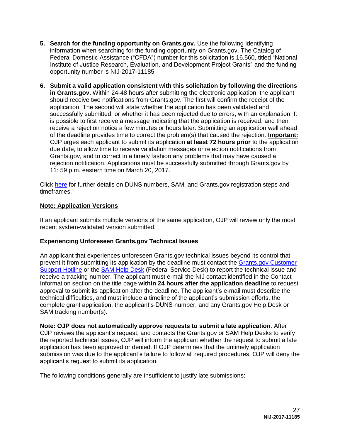- **5. Search for the funding opportunity on Grants.gov.** Use the following identifying information when searching for the funding opportunity on Grants.gov. The Catalog of Federal Domestic Assistance ("CFDA") number for this solicitation is 16.560, titled "National Institute of Justice Research, Evaluation, and Development Project Grants" and the funding opportunity number is NIJ-2017-11185.
- **6. Submit a valid application consistent with this solicitation by following the directions in Grants.gov.** Within 24-48 hours after submitting the electronic application, the applicant should receive two notifications from Grants.gov. The first will confirm the receipt of the application. The second will state whether the application has been validated and successfully submitted, or whether it has been rejected due to errors, with an explanation. It is possible to first receive a message indicating that the application is received, and then receive a rejection notice a few minutes or hours later. Submitting an application well ahead of the deadline provides time to correct the problem(s) that caused the rejection. **Important:** OJP urges each applicant to submit its application **at least 72 hours prior** to the application due date, to allow time to receive validation messages or rejection notifications from Grants.gov, and to correct in a timely fashion any problems that may have caused a rejection notification. Applications must be successfully submitted through Grants.gov by 11: 59 p.m. eastern time on March 20, 2017.

Click [here](http://www.grants.gov/web/grants/applicants/organization-registration.html) for further details on DUNS numbers, SAM, and Grants.gov registration steps and timeframes.

#### **Note: Application Versions**

If an applicant submits multiple versions of the same application, OJP will review only the most recent system-validated version submitted.

#### **Experiencing Unforeseen Grants.gov Technical Issues**

An applicant that experiences unforeseen Grants.gov technical issues beyond its control that prevent it from submitting its application by the deadline must contact the [Grants.gov Customer](mailto:support@grants.gov)  [Support Hotline](mailto:support@grants.gov) or the [SAM Help Desk](http://www.fsd.gov/) (Federal Service Desk) to report the technical issue and receive a tracking number. The applicant must e-mail the NIJ contact identified in the Contact Information section on the title page **within 24 hours after the application deadline** to request approval to submit its application after the deadline. The applicant's e-mail must describe the technical difficulties, and must include a timeline of the applicant's submission efforts, the complete grant application, the applicant's DUNS number, and any Grants.gov Help Desk or SAM tracking number(s).

**Note: OJP does not automatically approve requests to submit a late application**. After OJP reviews the applicant's request, and contacts the Grants.gov or SAM Help Desks to verify the reported technical issues, OJP will inform the applicant whether the request to submit a late application has been approved or denied. If OJP determines that the untimely application submission was due to the applicant's failure to follow all required procedures, OJP will deny the applicant's request to submit its application.

The following conditions generally are insufficient to justify late submissions: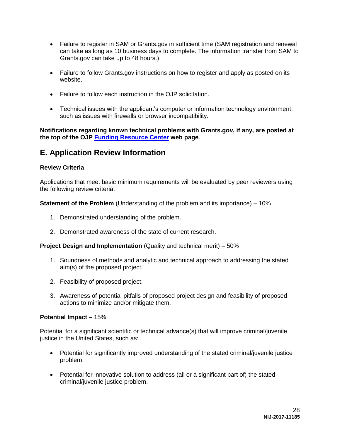- Failure to register in SAM or Grants.gov in sufficient time (SAM registration and renewal can take as long as 10 business days to complete. The information transfer from SAM to Grants.gov can take up to 48 hours.)
- Failure to follow Grants.gov instructions on how to register and apply as posted on its website.
- Failure to follow each instruction in the OJP solicitation.
- Technical issues with the applicant's computer or information technology environment, such as issues with firewalls or browser incompatibility.

**Notifications regarding known technical problems with Grants.gov, if any, are posted at the top of the OJP [Funding Resource Center](http://ojp.gov/funding/index.htm) web page**.

# <span id="page-28-0"></span>**E. Application Review Information**

#### <span id="page-28-1"></span>**Review Criteria**

Applications that meet basic minimum requirements will be evaluated by peer reviewers using the following review criteria.

**Statement of the Problem** (Understanding of the problem and its importance) – 10%

- 1. Demonstrated understanding of the problem.
- 2. Demonstrated awareness of the state of current research.

**Project Design and Implementation** (Quality and technical merit) – 50%

- 1. Soundness of methods and analytic and technical approach to addressing the stated aim(s) of the proposed project.
- 2. Feasibility of proposed project.
- 3. Awareness of potential pitfalls of proposed project design and feasibility of proposed actions to minimize and/or mitigate them.

#### **Potential Impact** – 15%

Potential for a significant scientific or technical advance(s) that will improve criminal/juvenile justice in the United States, such as:

- Potential for significantly improved understanding of the stated criminal/juvenile justice problem.
- Potential for innovative solution to address (all or a significant part of) the stated criminal/juvenile justice problem.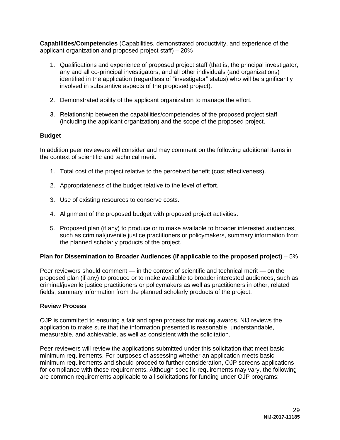**Capabilities/Competencies** (Capabilities, demonstrated productivity, and experience of the applicant organization and proposed project staff) – 20%

- 1. Qualifications and experience of proposed project staff (that is, the principal investigator, any and all co-principal investigators, and all other individuals (and organizations) identified in the application (regardless of "investigator" status) who will be significantly involved in substantive aspects of the proposed project).
- 2. Demonstrated ability of the applicant organization to manage the effort.
- 3. Relationship between the capabilities/competencies of the proposed project staff (including the applicant organization) and the scope of the proposed project.

#### **Budget**

In addition peer reviewers will consider and may comment on the following additional items in the context of scientific and technical merit.

- 1. Total cost of the project relative to the perceived benefit (cost effectiveness).
- 2. Appropriateness of the budget relative to the level of effort.
- 3. Use of existing resources to conserve costs.
- 4. Alignment of the proposed budget with proposed project activities.
- 5. Proposed plan (if any) to produce or to make available to broader interested audiences, such as criminal/juvenile justice practitioners or policymakers, summary information from the planned scholarly products of the project.

#### **Plan for Dissemination to Broader Audiences (if applicable to the proposed project)** – 5%

Peer reviewers should comment — in the context of scientific and technical merit — on the proposed plan (if any) to produce or to make available to broader interested audiences, such as criminal/juvenile justice practitioners or policymakers as well as practitioners in other, related fields, summary information from the planned scholarly products of the project.

#### <span id="page-29-0"></span>**Review Process**

OJP is committed to ensuring a fair and open process for making awards. NIJ reviews the application to make sure that the information presented is reasonable, understandable, measurable, and achievable, as well as consistent with the solicitation.

Peer reviewers will review the applications submitted under this solicitation that meet basic minimum requirements. For purposes of assessing whether an application meets basic minimum requirements and should proceed to further consideration, OJP screens applications for compliance with those requirements. Although specific requirements may vary, the following are common requirements applicable to all solicitations for funding under OJP programs: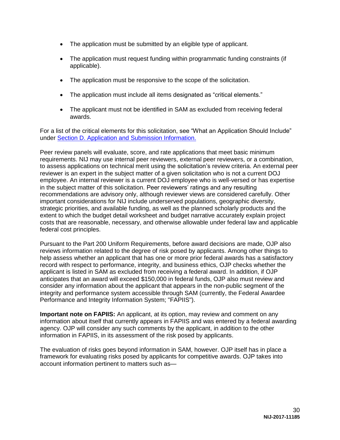- The application must be submitted by an eligible type of applicant.
- The application must request funding within programmatic funding constraints (if applicable).
- The application must be responsive to the scope of the solicitation.
- The application must include all items designated as "critical elements."
- The applicant must not be identified in SAM as excluded from receiving federal awards.

For a list of the critical elements for this solicitation, see "What an Application Should Include" under [Section D. Application and Submission Information.](#page-11-0)

Peer review panels will evaluate, score, and rate applications that meet basic minimum requirements. NIJ may use internal peer reviewers, external peer reviewers, or a combination, to assess applications on technical merit using the solicitation's review criteria. An external peer reviewer is an expert in the subject matter of a given solicitation who is not a current DOJ employee. An internal reviewer is a current DOJ employee who is well-versed or has expertise in the subject matter of this solicitation. Peer reviewers' ratings and any resulting recommendations are advisory only, although reviewer views are considered carefully. Other important considerations for NIJ include underserved populations, geographic diversity, strategic priorities, and available funding, as well as the planned scholarly products and the extent to which the budget detail worksheet and budget narrative accurately explain project costs that are reasonable, necessary, and otherwise allowable under federal law and applicable federal cost principles.

Pursuant to the Part 200 Uniform Requirements, before award decisions are made, OJP also reviews information related to the degree of risk posed by applicants. Among other things to help assess whether an applicant that has one or more prior federal awards has a satisfactory record with respect to performance, integrity, and business ethics, OJP checks whether the applicant is listed in SAM as excluded from receiving a federal award. In addition, if OJP anticipates that an award will exceed \$150,000 in federal funds, OJP also must review and consider any information about the applicant that appears in the non-public segment of the integrity and performance system accessible through SAM (currently, the Federal Awardee Performance and Integrity Information System; "FAPIIS").

**Important note on FAPIIS:** An applicant, at its option, may review and comment on any information about itself that currently appears in FAPIIS and was entered by a federal awarding agency. OJP will consider any such comments by the applicant, in addition to the other information in FAPIIS, in its assessment of the risk posed by applicants.

The evaluation of risks goes beyond information in SAM, however. OJP itself has in place a framework for evaluating risks posed by applicants for competitive awards. OJP takes into account information pertinent to matters such as—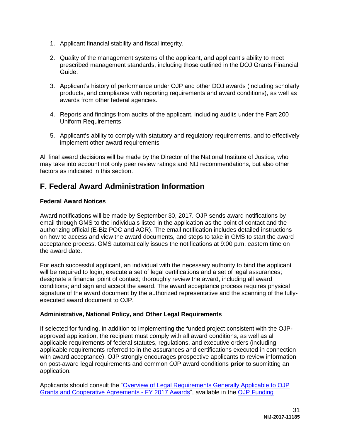- 1. Applicant financial stability and fiscal integrity.
- 2. Quality of the management systems of the applicant, and applicant's ability to meet prescribed management standards, including those outlined in the DOJ Grants Financial Guide.
- 3. Applicant's history of performance under OJP and other DOJ awards (including scholarly products, and compliance with reporting requirements and award conditions), as well as awards from other federal agencies.
- 4. Reports and findings from audits of the applicant, including audits under the Part 200 Uniform Requirements
- 5. Applicant's ability to comply with statutory and regulatory requirements, and to effectively implement other award requirements

All final award decisions will be made by the Director of the National Institute of Justice, who may take into account not only peer review ratings and NIJ recommendations, but also other factors as indicated in this section.

# <span id="page-31-0"></span>**F. Federal Award Administration Information**

## <span id="page-31-1"></span>**Federal Award Notices**

Award notifications will be made by September 30, 2017. OJP sends award notifications by email through GMS to the individuals listed in the application as the point of contact and the authorizing official (E-Biz POC and AOR). The email notification includes detailed instructions on how to access and view the award documents, and steps to take in GMS to start the award acceptance process. GMS automatically issues the notifications at 9:00 p.m. eastern time on the award date.

For each successful applicant, an individual with the necessary authority to bind the applicant will be required to login; execute a set of legal certifications and a set of legal assurances; designate a financial point of contact; thoroughly review the award, including all award conditions; and sign and accept the award. The award acceptance process requires physical signature of the award document by the authorized representative and the scanning of the fullyexecuted award document to OJP.

## <span id="page-31-2"></span>**Administrative, National Policy, and Other Legal Requirements**

If selected for funding, in addition to implementing the funded project consistent with the OJPapproved application, the recipient must comply with all award conditions, as well as all applicable requirements of federal statutes, regulations, and executive orders (including applicable requirements referred to in the assurances and certifications executed in connection with award acceptance). OJP strongly encourages prospective applicants to review information on post-award legal requirements and common OJP award conditions **prior** to submitting an application.

Applicants should consult the ["Overview of Legal Requirements Generally Applicable to OJP](http://ojp.gov/funding/Explore/SolicitationRequirements/index.htm)  [Grants and Cooperative Agreements](http://ojp.gov/funding/Explore/SolicitationRequirements/index.htm) - FY 2017 Awards", available in the [OJP Funding](http://ojp.gov/funding/index.htm)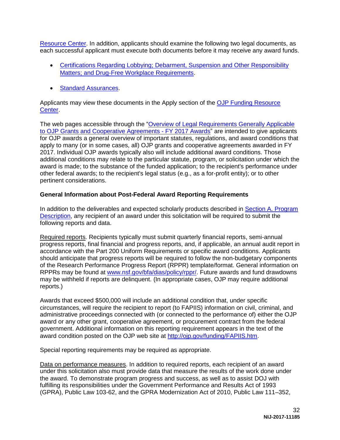[Resource Center.](http://ojp.gov/funding/index.htm) In addition, applicants should examine the following two legal documents, as each successful applicant must execute both documents before it may receive any award funds.

- [Certifications Regarding Lobbying; Debarment, Suspension and Other Responsibility](http://ojp.gov/funding/Apply/Resources/Certifications.pdf)  Matters: and Drug-Free Workplace Requirements.
- **[Standard Assurances.](http://ojp.gov/funding/Apply/Resources/StandardAssurances.pdf)**

Applicants may view these documents in the Apply section of the [OJP Funding Resource](http://ojp.gov/funding/index.htm)  [Center.](http://ojp.gov/funding/index.htm)

The web pages accessible through the ["Overview of Legal Requirements Generally Applicable](http://ojp.gov/funding/Explore/SolicitationRequirements/index.htm)  [to OJP Grants and Cooperative Agreements](http://ojp.gov/funding/Explore/SolicitationRequirements/index.htm) - FY 2017 Awards" are intended to give applicants for OJP awards a general overview of important statutes, regulations, and award conditions that apply to many (or in some cases, all) OJP grants and cooperative agreements awarded in FY 2017. Individual OJP awards typically also will include additional award conditions. Those additional conditions may relate to the particular statute, program, or solicitation under which the award is made; to the substance of the funded application; to the recipient's performance under other federal awards; to the recipient's legal status (e.g., as a for-profit entity); or to other pertinent considerations.

#### <span id="page-32-0"></span>**General Information about Post-Federal Award Reporting Requirements**

In addition to the deliverables and expected scholarly products described in [Section A. Program](#page-4-0)  [Description,](#page-4-0) any recipient of an award under this solicitation will be required to submit the following reports and data.

Required reports. Recipients typically must submit quarterly financial reports, semi-annual progress reports, final financial and progress reports, and, if applicable, an annual audit report in accordance with the Part 200 Uniform Requirements or specific award conditions. Applicants should anticipate that progress reports will be required to follow the non-budgetary components of the Research Performance Progress Report (RPPR) template/format. General information on RPPRs may be found at [www.nsf.gov/bfa/dias/policy/rppr/.](http://www.nsf.gov/bfa/dias/policy/rppr/) Future awards and fund drawdowns may be withheld if reports are delinquent. (In appropriate cases, OJP may require additional reports.)

Awards that exceed \$500,000 will include an additional condition that, under specific circumstances, will require the recipient to report (to FAPIIS) information on civil, criminal, and administrative proceedings connected with (or connected to the performance of) either the OJP award or any other grant, cooperative agreement, or procurement contract from the federal government. Additional information on this reporting requirement appears in the text of the award condition posted on the OJP web site at [http://ojp.gov/funding/FAPIIS.htm.](http://ojp.gov/funding/FAPIIS.htm)

Special reporting requirements may be required as appropriate.

Data on performance measures. In addition to required reports, each recipient of an award under this solicitation also must provide data that measure the results of the work done under the award. To demonstrate program progress and success, as well as to assist DOJ with fulfilling its responsibilities under the Government Performance and Results Act of 1993 (GPRA), Public Law 103-62, and the GPRA Modernization Act of 2010, Public Law 111–352,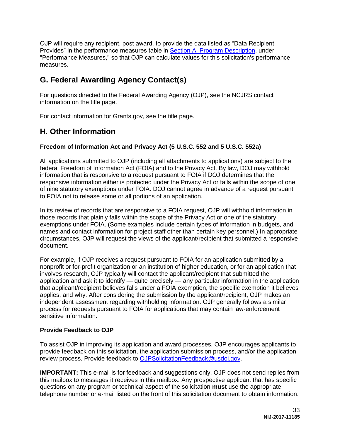OJP will require any recipient, post award, to provide the data listed as "Data Recipient Provides" in the performance measures table in Section A. [Program Description,](#page-4-0) under "Performance Measures," so that OJP can calculate values for this solicitation's performance measures.

# <span id="page-33-0"></span>**G. Federal Awarding Agency Contact(s)**

For questions directed to the Federal Awarding Agency (OJP), see the NCJRS contact information on the title page.

For contact information for Grants.gov, see the title page.

# <span id="page-33-1"></span>**H. Other Information**

## <span id="page-33-2"></span>**Freedom of Information Act and Privacy Act (5 U.S.C. 552 and 5 U.S.C. 552a)**

All applications submitted to OJP (including all attachments to applications) are subject to the federal Freedom of Information Act (FOIA) and to the Privacy Act. By law, DOJ may withhold information that is responsive to a request pursuant to FOIA if DOJ determines that the responsive information either is protected under the Privacy Act or falls within the scope of one of nine statutory exemptions under FOIA. DOJ cannot agree in advance of a request pursuant to FOIA not to release some or all portions of an application.

In its review of records that are responsive to a FOIA request, OJP will withhold information in those records that plainly falls within the scope of the Privacy Act or one of the statutory exemptions under FOIA. (Some examples include certain types of information in budgets, and names and contact information for project staff other than certain key personnel.) In appropriate circumstances, OJP will request the views of the applicant/recipient that submitted a responsive document.

For example, if OJP receives a request pursuant to FOIA for an application submitted by a nonprofit or for-profit organization or an institution of higher education, or for an application that involves research, OJP typically will contact the applicant/recipient that submitted the application and ask it to identify — quite precisely — any particular information in the application that applicant/recipient believes falls under a FOIA exemption, the specific exemption it believes applies, and why. After considering the submission by the applicant/recipient, OJP makes an independent assessment regarding withholding information. OJP generally follows a similar process for requests pursuant to FOIA for applications that may contain law-enforcement sensitive information.

## <span id="page-33-3"></span>**Provide Feedback to OJP**

To assist OJP in improving its application and award processes, OJP encourages applicants to provide feedback on this solicitation, the application submission process, and/or the application review process. Provide feedback to [OJPSolicitationFeedback@usdoj.gov.](mailto:OJPSolicitationFeedback@usdoj.gov)

**IMPORTANT:** This e-mail is for feedback and suggestions only. OJP does not send replies from this mailbox to messages it receives in this mailbox. Any prospective applicant that has specific questions on any program or technical aspect of the solicitation **must** use the appropriate telephone number or e-mail listed on the front of this solicitation document to obtain information.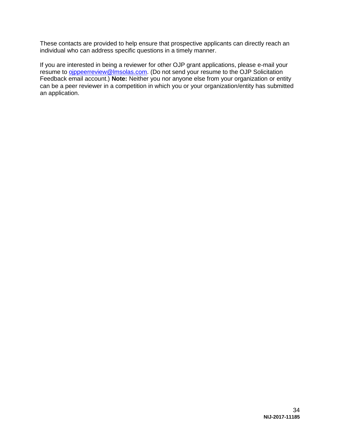These contacts are provided to help ensure that prospective applicants can directly reach an individual who can address specific questions in a timely manner.

If you are interested in being a reviewer for other OJP grant applications, please e-mail your resume to **ojppeerreview@lmsolas.com**. (Do not send your resume to the OJP Solicitation Feedback email account.) **Note:** Neither you nor anyone else from your organization or entity can be a peer reviewer in a competition in which you or your organization/entity has submitted an application.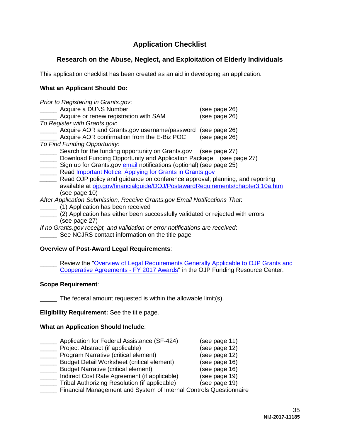# **Application Checklist**

# <span id="page-35-0"></span>**Research on the Abuse, Neglect, and Exploitation of Elderly Individuals**

This application checklist has been created as an aid in developing an application.

## **What an Applicant Should Do:**

| Prior to Registering in Grants.gov.                                            |               |
|--------------------------------------------------------------------------------|---------------|
| Acquire a DUNS Number                                                          | (see page 26) |
| Acquire or renew registration with SAM                                         | (see page 26) |
| To Register with Grants.gov.                                                   |               |
| Acquire AOR and Grants.gov username/password                                   | (see page 26) |
| Acquire AOR confirmation from the E-Biz POC                                    | (see page 26) |
| To Find Funding Opportunity:                                                   |               |
| Search for the funding opportunity on Grants.gov (see page 27)                 |               |
| Download Funding Opportunity and Application Package (see page 27)             |               |
| Sign up for Grants.gov email notifications (optional) (see page 25)            |               |
| Read <b>Important Notice: Applying for Grants in Grants.gov</b>                |               |
| Read OJP policy and guidance on conference approval, planning, and reporting   |               |
| available at oip.gov/financialquide/DOJ/PostawardRequirements/chapter3.10a.htm |               |
| (see page 10)                                                                  |               |
| After Application Submission, Receive Grants.gov Email Notifications That:     |               |
| (1) Application has been received                                              |               |
| (2) Application has either been successfully validated or rejected with errors |               |

\_\_\_\_\_ (2) Application has either been successfully validated or rejected with errors (see page 27)

*If no Grants*.*gov receipt, and validation or error notifications are received*:

**See NCJRS contact information on the title page** 

#### **Overview of Post-Award Legal Requirements**:

Review the "Overview of Legal Requirements Generally Applicable to OJP Grants and [Cooperative Agreements -](http://ojp.gov/funding/Explore/SolicitationRequirements/index.htm) FY 2017 Awards" in the OJP Funding Resource Center.

#### **Scope Requirement**:

The federal amount requested is within the allowable limit(s).

**Eligibility Requirement:** See the title page.

## **What an Application Should Include**:

\_\_\_\_\_ Application for Federal Assistance (SF-424) (see page 11) \_\_\_\_\_ Project Abstract (if applicable) (see page 12) \_\_\_\_\_ Program Narrative (critical element) (see page 12) Local Budget Detail Worksheet (critical element) (see page 16) \_\_\_\_\_ Budget Narrative (critical element) (see page 16) \_\_\_\_\_ Indirect Cost Rate Agreement (if applicable) (see page 19) \_\_\_\_\_ Tribal Authorizing Resolution (if applicable) (see page 19) \_\_\_\_\_ Financial Management and System of Internal Controls Questionnaire